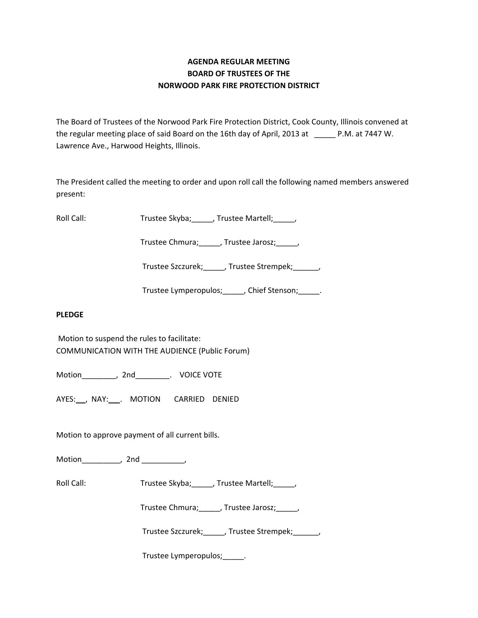# **AGENDA REGULAR MEETING BOARD OF TRUSTEES OF THE NORWOOD PARK FIRE PROTECTION DISTRICT**

The Board of Trustees of the Norwood Park Fire Protection District, Cook County, Illinois convened at the regular meeting place of said Board on the 16th day of April, 2013 at P.M. at 7447 W. Lawrence Ave., Harwood Heights, Illinois.

The President called the meeting to order and upon roll call the following named members answered present:

Roll Call: Trustee Skyba; \_\_\_\_, Trustee Martell; \_\_\_\_,

Trustee Chmura;\_\_\_\_\_, Trustee Jarosz;\_\_\_\_\_,

Trustee Szczurek;\_\_\_\_\_, Trustee Strempek;\_\_\_\_\_\_,

Trustee Lymperopulos;\_\_\_\_\_, Chief Stenson;\_\_\_\_\_.

### **PLEDGE**

Motion to suspend the rules to facilitate: COMMUNICATION WITH THE AUDIENCE (Public Forum)

Motion\_\_\_\_\_\_\_\_, 2nd\_\_\_\_\_\_\_\_. VOICE VOTE

AYES: , NAY: . MOTION CARRIED DENIED

Motion to approve payment of all current bills.

Motion\_\_\_\_\_\_\_\_\_, 2nd \_\_\_\_\_\_\_\_\_,

Roll Call: Trustee Skyba; \_\_\_\_, Trustee Martell; \_\_\_\_,

Trustee Chmura;\_\_\_\_\_, Trustee Jarosz;\_\_\_\_\_,

Trustee Szczurek;\_\_\_\_\_, Trustee Strempek;\_\_\_\_\_\_,

Trustee Lymperopulos;\_\_\_\_\_.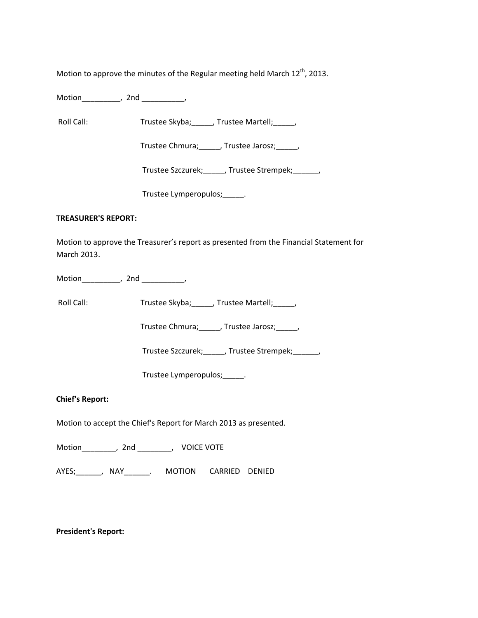Motion to approve the minutes of the Regular meeting held March  $12^{\text{th}}$ , 2013.

Motion\_\_\_\_\_\_\_\_\_, 2nd \_\_\_\_\_\_\_\_\_\_,

Roll Call: Trustee Skyba; \_\_\_\_, Trustee Martell; \_\_\_\_,

Trustee Chmura;\_\_\_\_\_, Trustee Jarosz;\_\_\_\_\_,

Trustee Szczurek;\_\_\_\_\_, Trustee Strempek;\_\_\_\_\_\_,

Trustee Lymperopulos;\_\_\_\_\_.

#### **TREASURER'S REPORT:**

Motion to approve the Treasurer's report as presented from the Financial Statement for March 2013.

Motion\_\_\_\_\_\_\_\_\_, 2nd \_\_\_\_\_\_\_\_\_\_,

Roll Call: Trustee Skyba; \_\_\_\_, Trustee Martell; \_\_\_\_,

Trustee Chmura;\_\_\_\_\_, Trustee Jarosz;\_\_\_\_\_,

Trustee Szczurek;\_\_\_\_\_, Trustee Strempek;\_\_\_\_\_\_,

Trustee Lymperopulos;\_\_\_\_\_.

### **Chief's Report:**

Motion to accept the Chief's Report for March 2013 as presented.

Motion\_\_\_\_\_\_\_\_, 2nd \_\_\_\_\_\_\_\_, VOICE VOTE

AYES;\_\_\_\_\_\_, NAY\_\_\_\_\_\_. MOTION CARRIED DENIED

**President's Report:**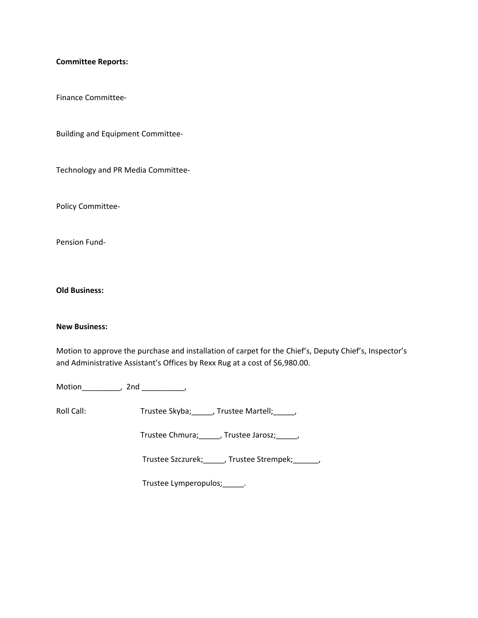#### **Committee Reports:**

Finance Committee‐

Building and Equipment Committee‐

Technology and PR Media Committee‐

Policy Committee‐

Pension Fund‐

**Old Business:**

## **New Business:**

Motion to approve the purchase and installation of carpet for the Chief's, Deputy Chief's, Inspector's and Administrative Assistant's Offices by Rexx Rug at a cost of \$6,980.00.

Motion\_\_\_\_\_\_\_\_\_, 2nd \_\_\_\_\_\_\_\_\_\_,

Roll Call: Trustee Skyba; \_\_\_\_, Trustee Martell; \_\_\_\_,

Trustee Chmura;\_\_\_\_\_, Trustee Jarosz;\_\_\_\_\_,

Trustee Szczurek;\_\_\_\_\_, Trustee Strempek;\_\_\_\_\_\_,

Trustee Lymperopulos;\_\_\_\_\_.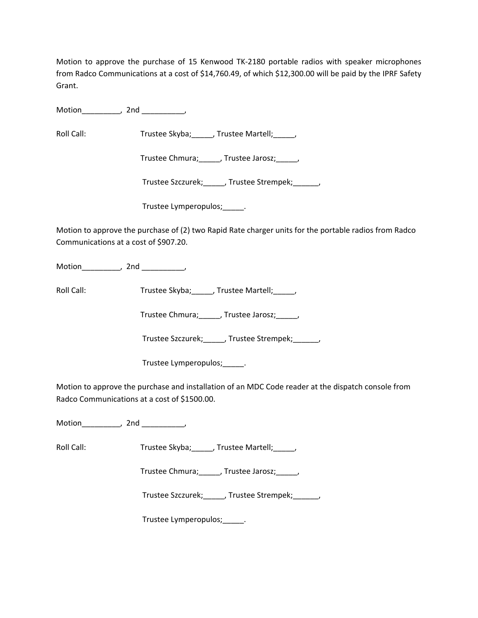Motion to approve the purchase of 15 Kenwood TK‐2180 portable radios with speaker microphones from Radco Communications at a cost of \$14,760.49, of which \$12,300.00 will be paid by the IPRF Safety Grant.

Motion\_\_\_\_\_\_\_\_\_, 2nd \_\_\_\_\_\_\_\_\_\_,

Roll Call: Trustee Skyba; \_\_\_\_, Trustee Martell; \_\_\_\_,

Trustee Chmura;\_\_\_\_\_, Trustee Jarosz;\_\_\_\_\_,

Trustee Szczurek;\_\_\_\_\_, Trustee Strempek;\_\_\_\_\_\_,

Trustee Lymperopulos;\_\_\_\_\_.

Motion to approve the purchase of (2) two Rapid Rate charger units for the portable radios from Radco Communications at a cost of \$907.20.

Motion \_\_\_\_\_\_\_\_, 2nd \_\_\_\_\_\_\_\_,

Roll Call: Trustee Skyba; \_\_\_\_, Trustee Martell; \_\_\_\_,

Trustee Chmura; frustee Jarosz; frustee Ohmura;

Trustee Szczurek;\_\_\_\_\_, Trustee Strempek;\_\_\_\_\_\_,

Trustee Lymperopulos;\_\_\_\_\_.

Motion to approve the purchase and installation of an MDC Code reader at the dispatch console from Radco Communications at a cost of \$1500.00.

Motion\_\_\_\_\_\_\_\_\_, 2nd \_\_\_\_\_\_\_\_\_\_,

Roll Call: Trustee Skyba; [15] Trustee Martell; [15]

Trustee Chmura;\_\_\_\_\_, Trustee Jarosz;\_\_\_\_\_,

Trustee Szczurek;\_\_\_\_\_, Trustee Strempek;\_\_\_\_\_\_,

Trustee Lymperopulos;\_\_\_\_\_.